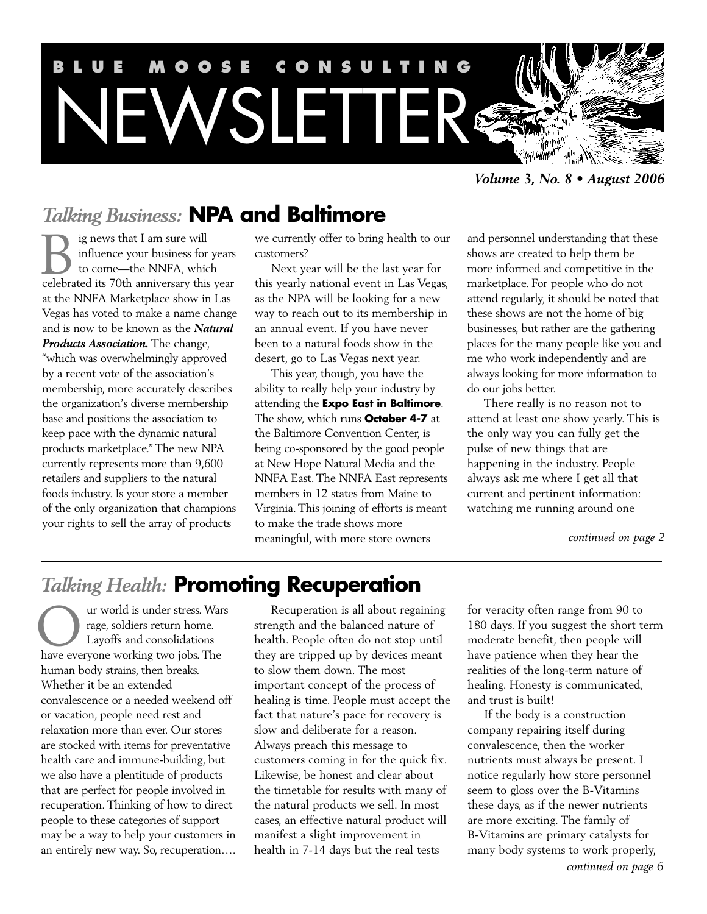

*Volume 3, No. 8 • August 2006*

## *Talking Business:* **NPA and Baltimore**

ig news that I am sure will influence your business for years to come—the NNFA, which Ig news that I am sure will<br>influence your business for years<br>to come—the NNFA, which<br>celebrated its 70th anniversary this year at the NNFA Marketplace show in Las Vegas has voted to make a name change and is now to be known as the *Natural Products Association.* The change, "which was overwhelmingly approved by a recent vote of the association's membership, more accurately describes the organization's diverse membership base and positions the association to keep pace with the dynamic natural products marketplace." The new NPA currently represents more than 9,600 retailers and suppliers to the natural foods industry. Is your store a member of the only organization that champions your rights to sell the array of products

we currently offer to bring health to our customers?

Next year will be the last year for this yearly national event in Las Vegas, as the NPA will be looking for a new way to reach out to its membership in an annual event. If you have never been to a natural foods show in the desert, go to Las Vegas next year.

This year, though, you have the ability to really help your industry by attending the **Expo East in Baltimore**. The show, which runs **October 4-7** at the Baltimore Convention Center, is being co-sponsored by the good people at New Hope Natural Media and the NNFA East. The NNFA East represents members in 12 states from Maine to Virginia. This joining of efforts is meant to make the trade shows more meaningful, with more store owners

and personnel understanding that these shows are created to help them be more informed and competitive in the marketplace. For people who do not attend regularly, it should be noted that these shows are not the home of big businesses, but rather are the gathering places for the many people like you and me who work independently and are always looking for more information to do our jobs better.

There really is no reason not to attend at least one show yearly. This is the only way you can fully get the pulse of new things that are happening in the industry. People always ask me where I get all that current and pertinent information: watching me running around one

*continued on page 2*

## *Talking Health:* **Promoting Recuperation**

ur world is under stress. Wars rage, soldiers return home. Layoffs and consolidations **Case of the UP** and the stress. Was rage, soldiers return home.<br>
Layoffs and consolidations<br>
have everyone working two jobs. The human body strains, then breaks. Whether it be an extended convalescence or a needed weekend off or vacation, people need rest and relaxation more than ever. Our stores are stocked with items for preventative health care and immune-building, but we also have a plentitude of products that are perfect for people involved in recuperation. Thinking of how to direct people to these categories of support may be a way to help your customers in an entirely new way. So, recuperation….

Recuperation is all about regaining strength and the balanced nature of health. People often do not stop until they are tripped up by devices meant to slow them down. The most important concept of the process of healing is time. People must accept the fact that nature's pace for recovery is slow and deliberate for a reason. Always preach this message to customers coming in for the quick fix. Likewise, be honest and clear about the timetable for results with many of the natural products we sell. In most cases, an effective natural product will manifest a slight improvement in health in 7-14 days but the real tests

for veracity often range from 90 to 180 days. If you suggest the short term moderate benefit, then people will have patience when they hear the realities of the long-term nature of healing. Honesty is communicated, and trust is built!

If the body is a construction company repairing itself during convalescence, then the worker nutrients must always be present. I notice regularly how store personnel seem to gloss over the B-Vitamins these days, as if the newer nutrients are more exciting. The family of B-Vitamins are primary catalysts for many body systems to work properly, *continued on page 6*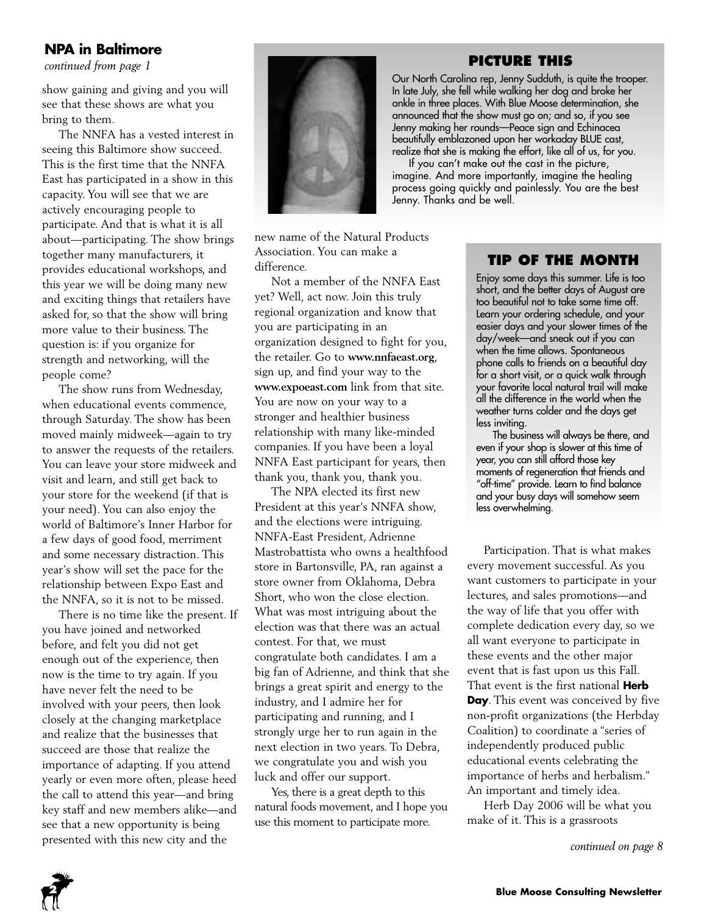## **NPA in Baltimore**

show gaining and giving and you will see that these shows are what you bring to them.

The NNFA has a vested interest in seeing this Baltimore show succeed. This is the first time that the NNFA East has participated in a show in this capacity. You will see that we are actively encouraging people to participate. And that is what it is all about—participating. The show brings together many manufacturers, it provides educational workshops, and this year we will be doing many new and exciting things that retailers have asked for, so that the show will bring more value to their business. The question is: if you organize for strength and networking, will the people come?

The show runs from Wednesday, when educational events commence, through Saturday. The show has been moved mainly midweek—again to try to answer the requests of the retailers. You can leave your store midweek and visit and learn, and still get back to your store for the weekend (if that is your need). You can also enjoy the world of Baltimore's Inner Harbor for a few days of good food, merriment and some necessary distraction. This year's show will set the pace for the relationship between Expo East and the NNFA, so it is not to be missed.

There is no time like the present. If you have joined and networked before, and felt you did not get enough out of the experience, then now is the time to try again. If you have never felt the need to be involved with your peers, then look closely at the changing marketplace and realize that the businesses that succeed are those that realize the importance of adapting. If you attend yearly or even more often, please heed the call to attend this year—and bring key staff and new members alike—and see that a new opportunity is being presented with this new city and the



Our North Carolina rep, Jenny Sudduth, is quite the trooper. In late July, she fell while walking her dog and broke her ankle in three places. With Blue Moose determination, she announced that the show must go on; and so, if you see Jenny making her rounds—Peace sign and Echinacea beautifully emblazoned upon her workaday BLUE cast, realize that she is making the effort, like all of us, for you.

If you can't make out the cast in the picture, imagine. And more importantly, imagine the healing process going quickly and painlessly. You are the best Jenny. Thanks and be well.

new name of the Natural Products Association. You can make a difference.

Not a member of the NNFA East yet? Well, act now. Join this truly regional organization and know that you are participating in an organization designed to fight for you, the retailer. Go to **www.nnfaeast.org**, sign up, and find your way to the **www.expoeast.com** link from that site. You are now on your way to a stronger and healthier business relationship with many like-minded companies. If you have been a loyal NNFA East participant for years, then thank you, thank you, thank you.

The NPA elected its first new President at this year's NNFA show, and the elections were intriguing. NNFA-East President, Adrienne Mastrobattista who owns a healthfood store in Bartonsville, PA, ran against a store owner from Oklahoma, Debra Short, who won the close election. What was most intriguing about the election was that there was an actual contest. For that, we must congratulate both candidates. I am a big fan of Adrienne, and think that she brings a great spirit and energy to the industry, and I admire her for participating and running, and I strongly urge her to run again in the next election in two years. To Debra, we congratulate you and wish you luck and offer our support.

Yes, there is a great depth to this natural foods movement, and I hope you use this moment to participate more.

## **TIP OF THE MONTH**

Enjoy some days this summer. Life is too short, and the better days of August are too beautiful not to take some time off. Learn your ordering schedule, and your easier days and your slower times of the day/week—and sneak out if you can when the time allows. Spontaneous phone calls to friends on a beautiful day for a short visit, or a quick walk through your favorite local natural trail will make all the difference in the world when the weather turns colder and the days get less inviting.

The business will always be there, and even if your shop is slower at this time of year, you can still afford those key moments of regeneration that friends and "off-time" provide. Learn to find balance and your busy days will somehow seem less overwhelming.

Participation. That is what makes every movement successful. As you want customers to participate in your lectures, and sales promotions—and the way of life that you offer with complete dedication every day, so we all want everyone to participate in these events and the other major event that is fast upon us this Fall. That event is the first national **Herb Day**. This event was conceived by five non-profit organizations (the Herbday Coalition) to coordinate a "series of independently produced public educational events celebrating the importance of herbs and herbalism." An important and timely idea.

Herb Day 2006 will be what you make of it. This is a grassroots

*continued on page 8*

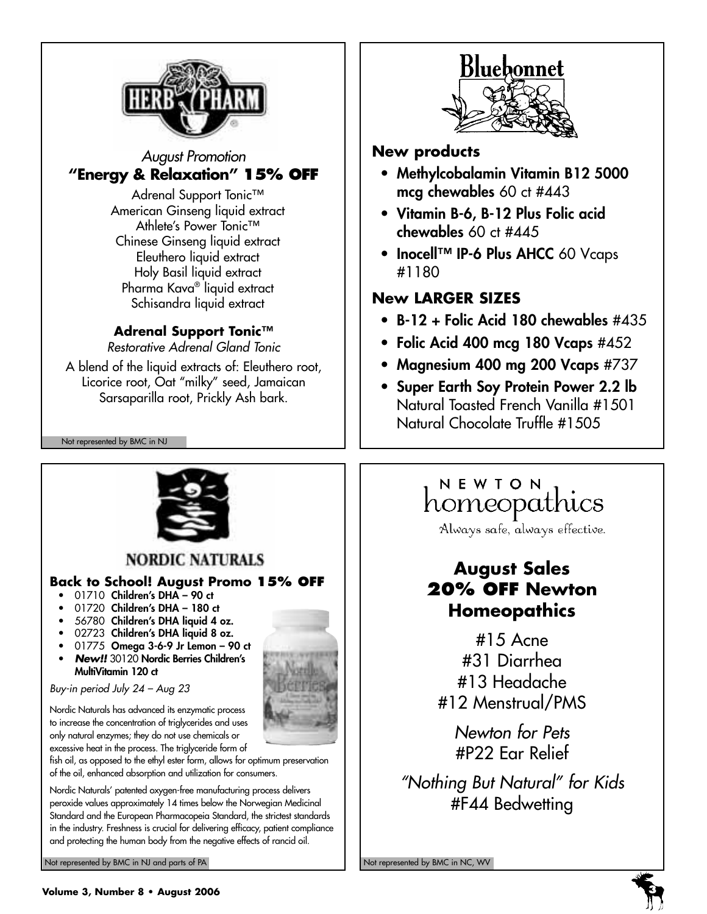

## August Promotion **"Energy & Relaxation" 15% OFF**

Adrenal Support Tonic™ American Ginseng liquid extract Athlete's Power Tonic™ Chinese Ginseng liquid extract Eleuthero liquid extract Holy Basil liquid extract Pharma Kava® liquid extract Schisandra liquid extract

## **Adrenal Support Tonic™**

Restorative Adrenal Gland Tonic

A blend of the liquid extracts of: Eleuthero root, Licorice root, Oat "milky" seed, Jamaican Sarsaparilla root, Prickly Ash bark.

Not represented by BMC in NJ



## **New products**

- Methylcobalamin Vitamin B12 5000 mcg chewables 60 ct #443
- Vitamin B-6, B-12 Plus Folic acid chewables 60 ct #445
- Inocell™ IP-6 Plus AHCC 60 Vcaps #1180

## **New LARGER SIZES**

- $B-12$  + Folic Acid 180 chewables  $\#435$
- Folic Acid 400 mcg 180 Vcaps #452
- Magnesium 400 mg 200 Vcaps #737
- Super Earth Soy Protein Power 2.2 lb Natural Toasted French Vanilla #1501 Natural Chocolate Truffle #1505



## **NORDIC NATURALS**

## **Back to School! August Promo 15% OFF**

- $\bullet$  01710 Children's DHA 90 ct
- 01720 Children's DHA 180 ct
- 56780 Children's DHA liquid 4 oz.
- 02723 Children's DHA liquid 8 oz.
- 01775 Omega 3-6-9 Jr Lemon 90 ct
- **New!!** 30120 Nordic Berries Children's MultiVitamin 120 ct

Buy-in period July 24 – Aug 23

Nordic Naturals has advanced its enzymatic process to increase the concentration of triglycerides and uses only natural enzymes; they do not use chemicals or excessive heat in the process. The triglyceride form of

fish oil, as opposed to the ethyl ester form, allows for optimum preservation of the oil, enhanced absorption and utilization for consumers.

Nordic Naturals' patented oxygen-free manufacturing process delivers peroxide values approximately 14 times below the Norwegian Medicinal Standard and the European Pharmacopeia Standard, the strictest standards in the industry. Freshness is crucial for delivering efficacy, patient compliance and protecting the human body from the negative effects of rancid oil.

Not represented by BMC in NJ and parts of PA Not represented by BMC in NC, WV Not represented by BMC in NC, WV

## NEWTON homeopathics

Always safe, always effective.

## **August Sales 20% OFF Newton Homeopathics**

#15 Acne #31 Diarrhea #13 Headache #12 Menstrual/PMS

> Newton for Pets #P22 Ear Relief

"Nothing But Natural" for Kids #F44 Bedwetting



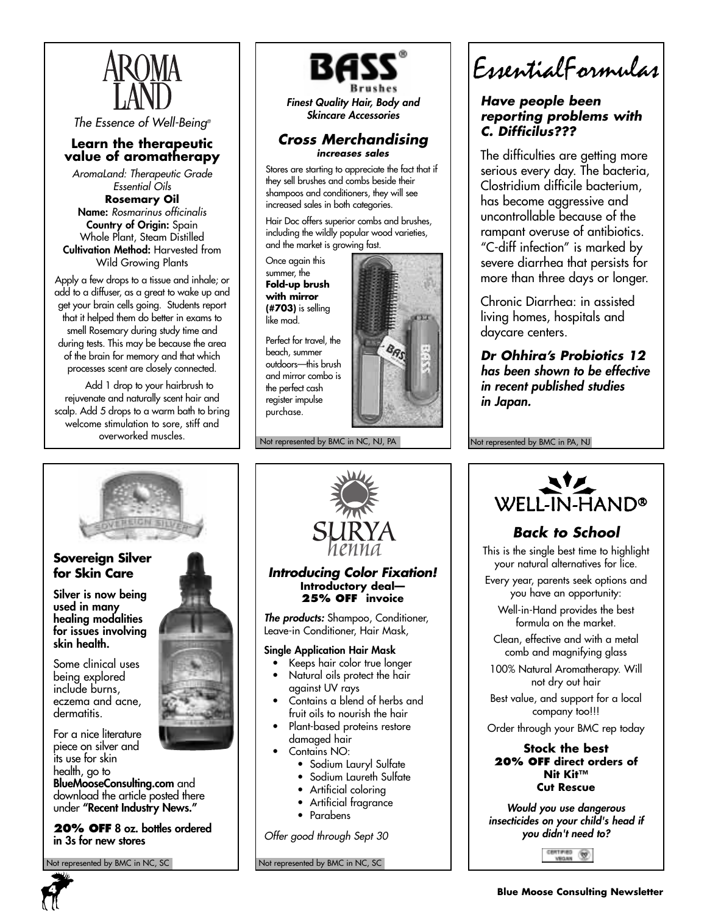

The Essence of Well-Being®

### **Learn the therapeutic value of aromatherapy**

AromaLand: Therapeutic Grade Essential Oils

**Rosemary Oil** Name: Rosmarinus officinalis Country of Origin: Spain Whole Plant, Steam Distilled Cultivation Method: Harvested from Wild Growing Plants

Apply a few drops to a tissue and inhale; or add to a diffuser, as a great to wake up and get your brain cells going. Students report that it helped them do better in exams to smell Rosemary during study time and during tests. This may be because the area of the brain for memory and that which processes scent are closely connected.

Add 1 drop to your hairbrush to rejuvenate and naturally scent hair and scalp. Add 5 drops to a warm bath to bring welcome stimulation to sore, stiff and overworked muscles.



Finest Quality Hair, Body and Skincare Accessories

### **Cross Merchandising increases sales**

Stores are starting to appreciate the fact that if they sell brushes and combs beside their shampoos and conditioners, they will see increased sales in both categories.

Hair Doc offers superior combs and brushes, including the wildly popular wood varieties, and the market is growing fast.

Once again this summer, the **Fold-up brush with mirror (#703)** is selling like mad.

Perfect for travel, the beach, summer outdoors—this brush and mirror combo is the perfect cash register impulse purchase.



Not represented by BMC in NC, NJ, PA



### **Have people been reporting problems with C. Difficilus???**

The difficulties are getting more serious every day. The bacteria, Clostridium difficile bacterium, has become aggressive and uncontrollable because of the rampant overuse of antibiotics. "C-diff infection" is marked by severe diarrhea that persists for more than three days or longer.

Chronic Diarrhea: in assisted living homes, hospitals and daycare centers.

**Dr Ohhira's Probiotics 12**  has been shown to be effective in recent published studies in Japan.

Not represented by BMC in PA, NJ



### **Sovereign Silver for Skin Care**

Silver is now being used in many healing modalities for issues involving skin health.

Some clinical uses being explored include burns, eczema and acne, dermatitis.

For a nice literature



piece on silver and its use for skin health, go to BlueMooseConsulting.com and download the article posted there under "Recent Industry News."

**20% OFF** 8 oz. bottles ordered in 3s for new stores



Not represented by BMC in NC, SC Not represented by BMC in NC, SC



Well-in-Hand provides the best formula on the market.

Clean, effective and with a metal comb and magnifying glass

100% Natural Aromatherapy. Will not dry out hair

Best value, and support for a local company too!!!

Order through your BMC rep today

#### **Stock the best 20% OFF direct orders of Nit Kit™ Cut Rescue**

Would you use dangerous insecticides on your child's head if you didn't need to?

> CENTIFIED 99.

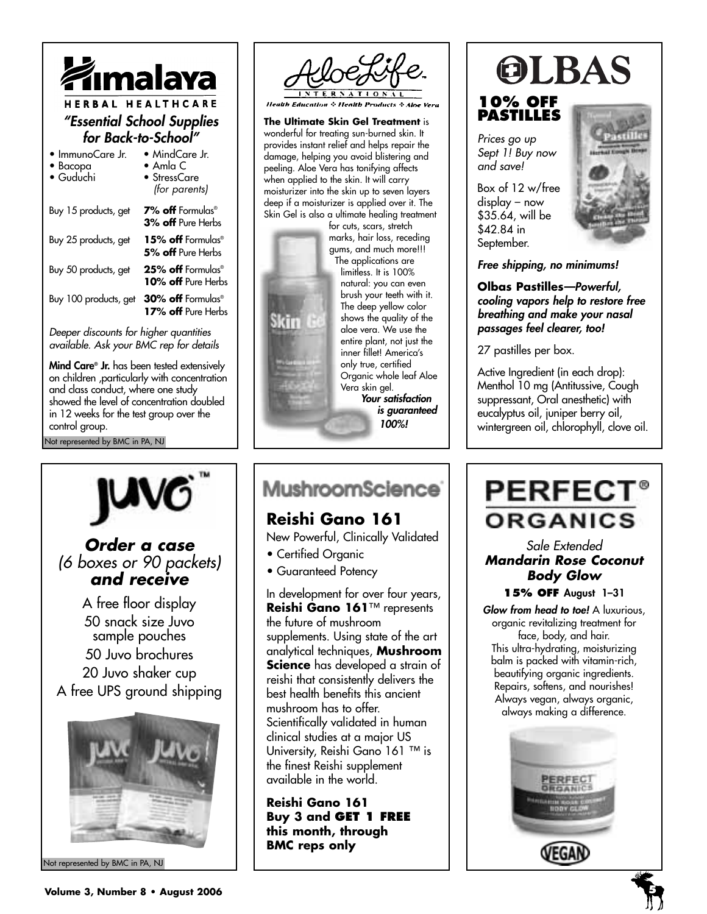

| • ImmunoCare Jr.<br>• Bacopa<br>· Guduchi | $\bullet$ MindCare Jr.<br>$\bullet$ Amla C<br>$\bullet$ StressCare<br>(for parents) |
|-------------------------------------------|-------------------------------------------------------------------------------------|
| Buy 15 products, get                      | 7% off Formulas®<br>3% off Pure Herbs                                               |
| Buy 25 products, get                      | 15% off Formulas®<br>5% off Pure Herbs                                              |
| Buy 50 products, get                      | $25\%$ off Formulas®<br>10% off Pure Herbs                                          |
| Buy 100 products, get                     | 30% off Formulas <sup>®</sup><br>17% off Pure Herbs                                 |

Deeper discounts for higher quantities available. Ask your BMC rep for details

Mind Care® Jr. has been tested extensively on children ,particularly with concentration and class conduct, where one study showed the level of concentration doubled in 12 weeks for the test group over the control group.

**Order a case**  (6 boxes or 90 packets) **and receive**

A free floor display 50 snack size Juvo sample pouches 50 Juvo brochures 20 Juvo shaker cup A free UPS ground shipping

Not represented by BMC in PA, NJ



lealth Education & Health Products & Alo<mark>e</mark>

**The Ultimate Skin Gel Treatment** is wonderful for treating sun-burned skin. It provides instant relief and helps repair the damage, helping you avoid blistering and peeling. Aloe Vera has tonifying affects when applied to the skin. It will carry moisturizer into the skin up to seven layers deep if a moisturizer is applied over it. The Skin Gel is also a ultimate healing treatment

for cuts, scars, stretch marks, hair loss, receding gums, and much more!!! The applications are limitless. It is 100% natural: you can even brush your teeth with it.

The deep yellow color shows the quality of the aloe vera. We use the entire plant, not just the inner fillet! America's only true, certified Organic whole leaf Aloe Vera skin gel. Your satisfaction is guaranteed

100%!

# **MushroomScience**

**Reishi Gano 161**

New Powerful, Clinically Validated

• Certified Organic

अतार

• Guaranteed Potency

In development for over four years, **Reishi Gano 161**™ represents the future of mushroom supplements. Using state of the art analytical techniques, **Mushroom Science** has developed a strain of reishi that consistently delivers the best health benefits this ancient mushroom has to offer. Scientifically validated in human clinical studies at a major US University, Reishi Gano 161 ™ is the finest Reishi supplement available in the world.

**Reishi Gano 161 Buy 3 and GET 1 FREE this month, through BMC reps only**

## OLBAS **10% OFF PASTILLES**

Prices go up Sept 1! Buy now and save!

Box of 12 w/free display – now \$35.64, will be \$42.84 in September.



Free shipping, no minimums!

**Olbas Pastilles**—Powerful, cooling vapors help to restore free breathing and make your nasal passages feel clearer, too!

27 pastilles per box.

Active Ingredient (in each drop): Menthol 10 mg (Antitussive, Cough suppressant, Oral anesthetic) with eucalyptus oil, juniper berry oil, wintergreen oil, chlorophyll, clove oil.

## **PERFECT® ORGANICS** Sale Extended

## **Mandarin Rose Coconut Body Glow**

**15% OFF** August 1–31

Glow from head to toe! A luxurious, organic revitalizing treatment for face, body, and hair. This ultra-hydrating, moisturizing balm is packed with vitamin-rich, beautifying organic ingredients. Repairs, softens, and nourishes! Always vegan, always organic, always making a difference.



Not represented by BMC in PA, NJ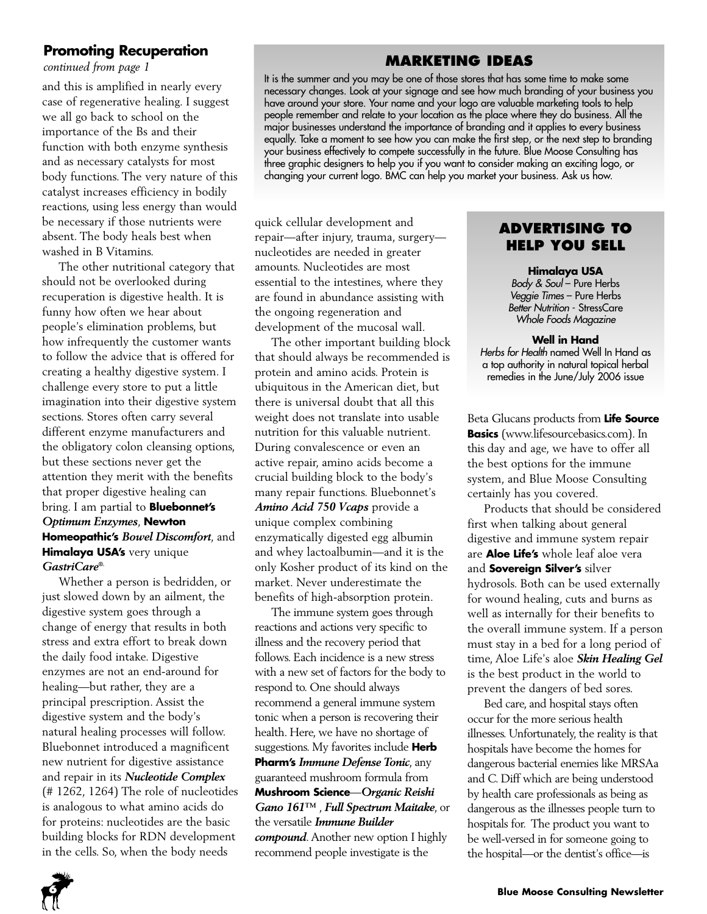## **Promoting Recuperation**

*continued from page 1*

and this is amplified in nearly every case of regenerative healing. I suggest we all go back to school on the importance of the Bs and their function with both enzyme synthesis and as necessary catalysts for most body functions. The very nature of this catalyst increases efficiency in bodily reactions, using less energy than would be necessary if those nutrients were absent. The body heals best when washed in B Vitamins.

The other nutritional category that should not be overlooked during recuperation is digestive health. It is funny how often we hear about people's elimination problems, but how infrequently the customer wants to follow the advice that is offered for creating a healthy digestive system. I challenge every store to put a little imagination into their digestive system sections. Stores often carry several different enzyme manufacturers and the obligatory colon cleansing options, but these sections never get the attention they merit with the benefits that proper digestive healing can bring. I am partial to **Bluebonnet's** *Optimum Enzymes*, **Newton Homeopathic's** *Bowel Discomfort*, and **Himalaya USA's** very unique *GastriCare®.*

Whether a person is bedridden, or just slowed down by an ailment, the digestive system goes through a change of energy that results in both stress and extra effort to break down the daily food intake. Digestive enzymes are not an end-around for healing—but rather, they are a principal prescription. Assist the digestive system and the body's natural healing processes will follow. Bluebonnet introduced a magnificent new nutrient for digestive assistance and repair in its *Nucleotide Complex* (# 1262, 1264) The role of nucleotides is analogous to what amino acids do for proteins: nucleotides are the basic building blocks for RDN development in the cells. So, when the body needs

## **MARKETING IDEAS**

It is the summer and you may be one of those stores that has some time to make some necessary changes. Look at your signage and see how much branding of your business you have around your store. Your name and your logo are valuable marketing tools to help people remember and relate to your location as the place where they do business. All the major businesses understand the importance of branding and it applies to every business equally. Take a moment to see how you can make the first step, or the next step to branding your business effectively to compete successfully in the future. Blue Moose Consulting has three graphic designers to help you if you want to consider making an exciting logo, or changing your current logo. BMC can help you market your business. Ask us how.

quick cellular development and repair—after injury, trauma, surgery nucleotides are needed in greater amounts. Nucleotides are most essential to the intestines, where they are found in abundance assisting with the ongoing regeneration and development of the mucosal wall.

The other important building block that should always be recommended is protein and amino acids. Protein is ubiquitous in the American diet, but there is universal doubt that all this weight does not translate into usable nutrition for this valuable nutrient. During convalescence or even an active repair, amino acids become a crucial building block to the body's many repair functions. Bluebonnet's *Amino Acid 750 Vcaps* provide a unique complex combining enzymatically digested egg albumin and whey lactoalbumin—and it is the only Kosher product of its kind on the market. Never underestimate the benefits of high-absorption protein.

The immune system goes through reactions and actions very specific to illness and the recovery period that follows. Each incidence is a new stress with a new set of factors for the body to respond to. One should always recommend a general immune system tonic when a person is recovering their health. Here, we have no shortage of suggestions. My favorites include **Herb Pharm's** *Immune Defense Tonic*, any guaranteed mushroom formula from **Mushroom Science**—*Organic Reishi Gano 161™* , *Full Spectrum Maitake*, or the versatile *Immune Builder compound*. Another new option I highly recommend people investigate is the

## **ADVERTISING TO HELP YOU SELL**

**Himalaya USA**

Body & Soul – Pure Herbs Veggie Times – Pure Herbs Better Nutrition - StressCare Whole Foods Magazine

#### **Well in Hand**

Herbs for Health named Well In Hand as a top authority in natural topical herbal remedies in the June/July 2006 issue

Beta Glucans products from **Life Source Basics** (www.lifesourcebasics.com). In this day and age, we have to offer all the best options for the immune system, and Blue Moose Consulting certainly has you covered.

Products that should be considered first when talking about general digestive and immune system repair are **Aloe Life's** whole leaf aloe vera and **Sovereign Silver's** silver hydrosols. Both can be used externally for wound healing, cuts and burns as well as internally for their benefits to the overall immune system. If a person must stay in a bed for a long period of time, Aloe Life's aloe *Skin Healing Gel* is the best product in the world to prevent the dangers of bed sores.

Bed care, and hospital stays often occur for the more serious health illnesses. Unfortunately, the reality is that hospitals have become the homes for dangerous bacterial enemies like MRSAa and C. Diff which are being understood by health care professionals as being as dangerous as the illnesses people turn to hospitals for. The product you want to be well-versed in for someone going to the hospital—or the dentist's office—is

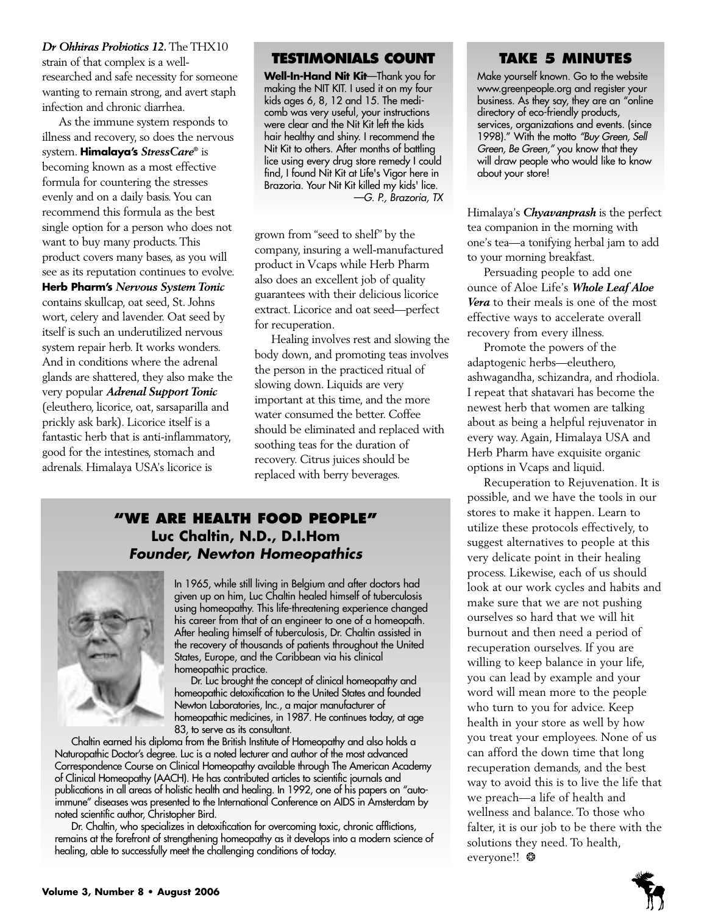*Dr Ohhiras Probiotics 12.* The THX10 strain of that complex is a wellresearched and safe necessity for someone wanting to remain strong, and avert staph infection and chronic diarrhea.

As the immune system responds to illness and recovery, so does the nervous system. **Himalaya's** *StressCare®* is becoming known as a most effective formula for countering the stresses evenly and on a daily basis. You can recommend this formula as the best single option for a person who does not want to buy many products. This product covers many bases, as you will see as its reputation continues to evolve.

**Herb Pharm's** *Nervous System Tonic* contains skullcap, oat seed, St. Johns wort, celery and lavender. Oat seed by itself is such an underutilized nervous system repair herb. It works wonders. And in conditions where the adrenal glands are shattered, they also make the very popular *Adrenal Support Tonic* (eleuthero, licorice, oat, sarsaparilla and prickly ask bark). Licorice itself is a fantastic herb that is anti-inflammatory, good for the intestines, stomach and adrenals. Himalaya USA's licorice is

### **TESTIMONIALS COUNT**

**Well-In-Hand Nit Kit**—Thank you for making the NIT KIT. I used it on my four kids ages 6, 8, 12 and 15. The medicomb was very useful, your instructions were clear and the Nit Kit left the kids hair healthy and shiny. I recommend the Nit Kit to others. After months of battling lice using every drug store remedy I could find, I found Nit Kit at Life's Vigor here in Brazoria. Your Nit Kit killed my kids' lice. —G. P., Brazoria, TX

grown from "seed to shelf" by the company, insuring a well-manufactured product in Vcaps while Herb Pharm also does an excellent job of quality guarantees with their delicious licorice extract. Licorice and oat seed—perfect for recuperation.

Healing involves rest and slowing the body down, and promoting teas involves the person in the practiced ritual of slowing down. Liquids are very important at this time, and the more water consumed the better. Coffee should be eliminated and replaced with soothing teas for the duration of recovery. Citrus juices should be replaced with berry beverages.

## **"WE ARE HEALTH FOOD PEOPLE" Luc Chaltin, N.D., D.I.Hom Founder, Newton Homeopathics**



In 1965, while still living in Belgium and after doctors had given up on him, Luc Chaltin healed himself of tuberculosis using homeopathy. This life-threatening experience changed his career from that of an engineer to one of a homeopath. After healing himself of tuberculosis, Dr. Chaltin assisted in the recovery of thousands of patients throughout the United States, Europe, and the Caribbean via his clinical homeopathic practice.

Dr. Luc brought the concept of clinical homeopathy and homeopathic detoxification to the United States and founded Newton Laboratories, Inc., a major manufacturer of homeopathic medicines, in 1987. He continues today, at age 83, to serve as its consultant.

Chaltin earned his diploma from the British Institute of Homeopathy and also holds a Naturopathic Doctor's degree. Luc is a noted lecturer and author of the most advanced Correspondence Course on Clinical Homeopathy available through The American Academy of Clinical Homeopathy (AACH). He has contributed articles to scientific journals and publications in all areas of holistic health and healing. In 1992, one of his papers on "autoimmune" diseases was presented to the International Conference on AIDS in Amsterdam by noted scientific author, Christopher Bird.

Dr. Chaltin, who specializes in detoxification for overcoming toxic, chronic afflictions, remains at the forefront of strengthening homeopathy as it develops into a modern science of healing, able to successfully meet the challenging conditions of today.

### **TAKE 5 MINUTES**

Make yourself known. Go to the website www.greenpeople.org and register your business. As they say, they are an "online directory of eco-friendly products, services, organizations and events. (since 1998)." With the motto "Buy Green, Sell Green, Be Green," you know that they will draw people who would like to know about your store!

Himalaya's *Chyavanprash* is the perfect tea companion in the morning with one's tea—a tonifying herbal jam to add to your morning breakfast.

Persuading people to add one ounce of Aloe Life's *Whole Leaf Aloe Vera* to their meals is one of the most effective ways to accelerate overall recovery from every illness.

Promote the powers of the adaptogenic herbs—eleuthero, ashwagandha, schizandra, and rhodiola. I repeat that shatavari has become the newest herb that women are talking about as being a helpful rejuvenator in every way. Again, Himalaya USA and Herb Pharm have exquisite organic options in Vcaps and liquid.

Recuperation to Rejuvenation. It is possible, and we have the tools in our stores to make it happen. Learn to utilize these protocols effectively, to suggest alternatives to people at this very delicate point in their healing process. Likewise, each of us should look at our work cycles and habits and make sure that we are not pushing ourselves so hard that we will hit burnout and then need a period of recuperation ourselves. If you are willing to keep balance in your life, you can lead by example and your word will mean more to the people who turn to you for advice. Keep health in your store as well by how you treat your employees. None of us can afford the down time that long recuperation demands, and the best way to avoid this is to live the life that we preach—a life of health and wellness and balance. To those who falter, it is our job to be there with the solutions they need. To health, everyone!! ❂